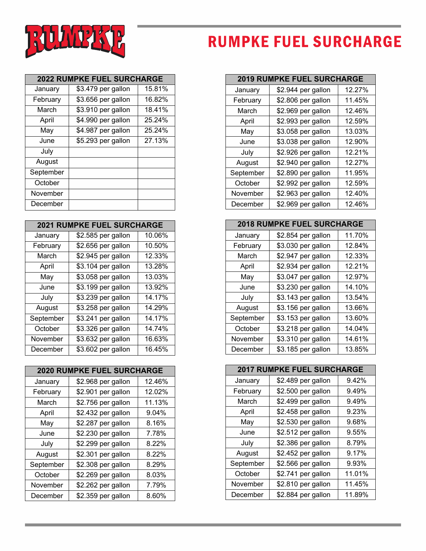

## **RUMPKE FUEL SURCHARGE**

| <b>2022 RUMPKE FUEL SURCHARGE</b> |                    |        |
|-----------------------------------|--------------------|--------|
| January                           | \$3.479 per gallon | 15.81% |
| February                          | \$3.656 per gallon | 16.82% |
| March                             | \$3.910 per gallon | 18.41% |
| April                             | \$4.990 per gallon | 25.24% |
| May                               | \$4.987 per gallon | 25.24% |
| June                              | \$5.293 per gallon | 27.13% |
| July                              |                    |        |
| August                            |                    |        |
| September                         |                    |        |
| October                           |                    |        |
| November                          |                    |        |
| December                          |                    |        |

|           | <b>2021 RUMPKE FUEL SURCHARGE</b> |        |
|-----------|-----------------------------------|--------|
| January   | \$2.585 per gallon                | 10.06% |
| February  | \$2.656 per gallon                | 10.50% |
| March     | \$2.945 per gallon                | 12.33% |
| April     | \$3.104 per gallon                | 13.28% |
| May       | \$3.058 per gallon                | 13.03% |
| June      | \$3.199 per gallon                | 13.92% |
| July      | \$3.239 per gallon                | 14.17% |
| August    | \$3.258 per gallon                | 14.29% |
| September | \$3.241 per gallon                | 14.17% |
| October   | \$3.326 per gallon                | 14.74% |
| November  | \$3.632 per gallon                | 16.63% |
| December  | \$3.602 per gallon                | 16.45% |

| <b>2020 RUMPKE FUEL SURCHARGE</b> |                    |        |
|-----------------------------------|--------------------|--------|
| January                           | \$2.968 per gallon | 12.46% |
| February                          | \$2.901 per gallon | 12.02% |
| March                             | \$2.756 per gallon | 11.13% |
| April                             | \$2.432 per gallon | 9.04%  |
| May                               | \$2.287 per gallon | 8.16%  |
| June                              | \$2.230 per gallon | 7.78%  |
| July                              | \$2.299 per gallon | 8.22%  |
| August                            | \$2.301 per gallon | 8.22%  |
| September                         | \$2.308 per gallon | 8.29%  |
| October                           | \$2.269 per gallon | 8.03%  |
| November                          | \$2.262 per gallon | 7.79%  |
| December                          | \$2.359 per gallon | 8.60%  |

| <b>2019 RUMPKE FUEL SURCHARGE</b> |                    |        |
|-----------------------------------|--------------------|--------|
| January                           | \$2.944 per gallon | 12.27% |
| February                          | \$2.806 per gallon | 11.45% |
| March                             | \$2.969 per gallon | 12.46% |
| April                             | \$2.993 per gallon | 12.59% |
| May                               | \$3.058 per gallon | 13.03% |
| June                              | \$3.038 per gallon | 12.90% |
| July                              | \$2.926 per gallon | 12.21% |
| August                            | \$2.940 per gallon | 12.27% |
| September                         | \$2.890 per gallon | 11.95% |
| October                           | \$2.992 per gallon | 12.59% |
| November                          | \$2.963 per gallon | 12.40% |
| December                          | \$2.969 per gallon | 12.46% |

| <b>2018 RUMPKE FUEL SURCHARGE</b> |                    |        |
|-----------------------------------|--------------------|--------|
| January                           | \$2.854 per gallon | 11.70% |
| February                          | \$3.030 per gallon | 12.84% |
| March                             | \$2.947 per gallon | 12.33% |
| April                             | \$2.934 per gallon | 12.21% |
| May                               | \$3.047 per gallon | 12.97% |
| June                              | \$3.230 per gallon | 14.10% |
| July                              | \$3.143 per gallon | 13.54% |
| August                            | \$3.156 per gallon | 13.66% |
| September                         | \$3.153 per gallon | 13.60% |
| October                           | \$3.218 per gallon | 14.04% |
| November                          | \$3.310 per gallon | 14.61% |
| December                          | \$3.185 per gallon | 13.85% |

| <b>2017 RUMPKE FUEL SURCHARGE</b> |                    |        |
|-----------------------------------|--------------------|--------|
| January                           | \$2.489 per gallon | 9.42%  |
| February                          | \$2.500 per gallon | 9.49%  |
| March                             | \$2.499 per gallon | 9.49%  |
| April                             | \$2.458 per gallon | 9.23%  |
| May                               | \$2.530 per gallon | 9.68%  |
| June                              | \$2.512 per gallon | 9.55%  |
| July                              | \$2.386 per gallon | 8.79%  |
| August                            | \$2.452 per gallon | 9.17%  |
| September                         | \$2.566 per gallon | 9.93%  |
| October                           | \$2.741 per gallon | 11.01% |
| November                          | \$2.810 per gallon | 11.45% |
| December                          | \$2.884 per gallon | 11.89% |